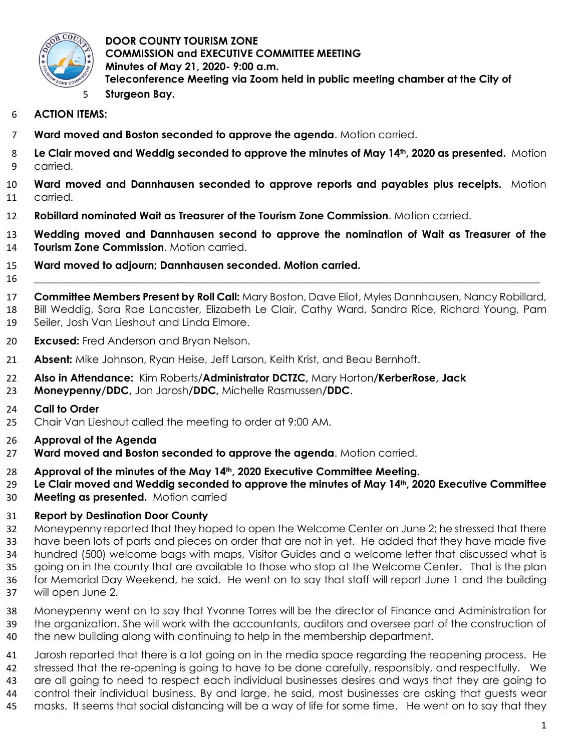

 **DOOR COUNTY TOURISM ZONE COMMISSION and EXECUTIVE COMMITTEE MEETING Minutes of May 21, 2020- 9:00 a.m. Teleconference Meeting via Zoom held in public meeting chamber at the City of Sturgeon Bay.**

- **ACTION ITEMS:**
- **Ward moved and Boston seconded to approve the agenda**. Motion carried.
- **Reads Le** Clair moved and Weddig seconded to approve the minutes of May 14<sup>th</sup>, 2020 as presented. Motion carried.
- **Ward moved and Dannhausen seconded to approve reports and payables plus receipts.** Motion carried.
- **Robillard nominated Wait as Treasurer of the Tourism Zone Commission**. Motion carried.
- **Wedding moved and Dannhausen second to approve the nomination of Wait as Treasurer of the Tourism Zone Commission**. Motion carried.
- **Ward moved to adjourn; Dannhausen seconded. Motion carried.**

#### \_\_\_\_\_\_\_\_\_\_\_\_\_\_\_\_\_\_\_\_\_\_\_\_\_\_\_\_\_\_\_\_\_\_\_\_\_\_\_\_\_\_\_\_\_\_\_\_\_\_\_\_\_\_\_\_\_\_\_\_\_\_\_\_\_\_\_\_\_\_\_\_\_\_\_\_\_\_\_\_\_\_\_\_\_\_\_\_\_\_\_\_\_\_\_\_\_

- **Committee Members Present by Roll Call:** Mary Boston, Dave Eliot, Myles Dannhausen, Nancy Robillard, Bill Weddig, Sara Rae Lancaster, Elizabeth Le Clair, Cathy Ward, Sandra Rice, Richard Young, Pam Seiler, Josh Van Lieshout and Linda Elmore.
- **Excused:** Fred Anderson and Bryan Nelson.
- **Absent:** Mike Johnson, Ryan Heise, Jeff Larson, Keith Krist, and Beau Bernhoft.
- **Also in Attendance:** Kim Roberts/**Administrator DCTZC,** Mary Horton**/KerberRose, Jack**
- **Moneypenny/DDC,** Jon Jarosh**/DDC,** Michelle Rasmussen**/DDC**.
- **Call to Order**
- Chair Van Lieshout called the meeting to order at 9:00 AM.
- **Approval of the Agenda**
- **Ward moved and Boston seconded to approve the agenda**. Motion carried.
- **Approval of the minutes of the May 14th , 2020 Executive Committee Meeting.**
- **Le Clair moved and Weddig seconded to approve the minutes of May 14th , 2020 Executive Committee**
- **Meeting as presented.** Motion carried

### **Report by Destination Door County**

- Moneypenny reported that they hoped to open the Welcome Center on June 2; he stressed that there have been lots of parts and pieces on order that are not in yet. He added that they have made five hundred (500) welcome bags with maps, Visitor Guides and a welcome letter that discussed what is going on in the county that are available to those who stop at the Welcome Center. That is the plan for Memorial Day Weekend, he said. He went on to say that staff will report June 1 and the building will open June 2.
- Moneypenny went on to say that Yvonne Torres will be the director of Finance and Administration for the organization. She will work with the accountants, auditors and oversee part of the construction of
- 40 the new building along with continuing to help in the membership department.
- Jarosh reported that there is a lot going on in the media space regarding the reopening process. He
- 42 stressed that the re-opening is going to have to be done carefully, responsibly, and respectfully. We
- 43 are all going to need to respect each individual businesses desires and ways that they are going to control their individual business. By and large, he said, most businesses are asking that guests wear
- 
- masks. It seems that social distancing will be a way of life for some time. He went on to say that they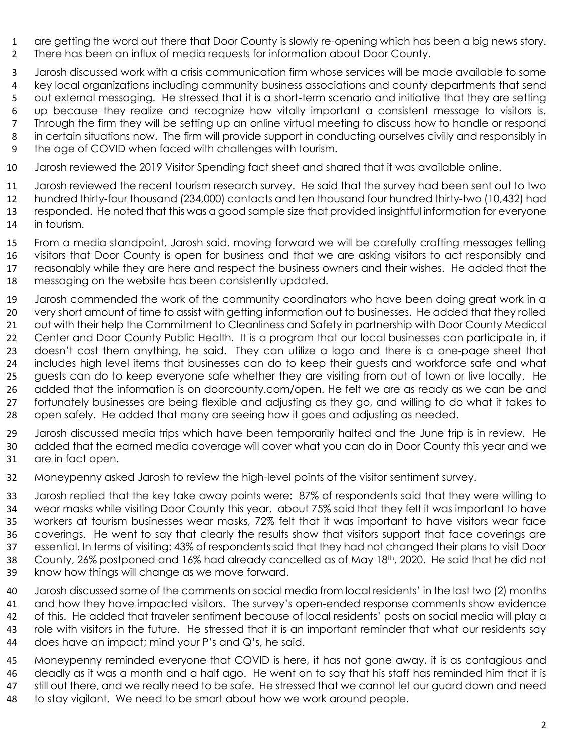- are getting the word out there that Door County is slowly re-opening which has been a big news story.
- There has been an influx of media requests for information about Door County.
- Jarosh discussed work with a crisis communication firm whose services will be made available to some 4 key local organizations including community business associations and county departments that send out external messaging. He stressed that it is a short-term scenario and initiative that they are setting up because they realize and recognize how vitally important a consistent message to visitors is. Through the firm they will be setting up an online virtual meeting to discuss how to handle or respond
- in certain situations now. The firm will provide support in conducting ourselves civilly and responsibly in
- the age of COVID when faced with challenges with tourism.
- Jarosh reviewed the 2019 Visitor Spending fact sheet and shared that it was available online.
- Jarosh reviewed the recent tourism research survey. He said that the survey had been sent out to two
- hundred thirty-four thousand (234,000) contacts and ten thousand four hundred thirty-two (10,432) had
- responded. He noted that this was a good sample size that provided insightful information for everyone in tourism.
- From a media standpoint, Jarosh said, moving forward we will be carefully crafting messages telling
- visitors that Door County is open for business and that we are asking visitors to act responsibly and
- reasonably while they are here and respect the business owners and their wishes. He added that the
- messaging on the website has been consistently updated.
- Jarosh commended the work of the community coordinators who have been doing great work in a very short amount of time to assist with getting information out to businesses. He added that they rolled out with their help the Commitment to Cleanliness and Safety in partnership with Door County Medical 22 Center and Door County Public Health. It is a program that our local businesses can participate in, it 23 doesn't cost them anything, he said. They can utilize a logo and there is a one-page sheet that includes high level items that businesses can do to keep their guests and workforce safe and what 25 guests can do to keep everyone safe whether they are visiting from out of town or live locally. He added that the information is on doorcounty.com/open. He felt we are as ready as we can be and fortunately businesses are being flexible and adjusting as they go, and willing to do what it takes to open safely. He added that many are seeing how it goes and adjusting as needed.
- Jarosh discussed media trips which have been temporarily halted and the June trip is in review. He added that the earned media coverage will cover what you can do in Door County this year and we are in fact open.
- Moneypenny asked Jarosh to review the high-level points of the visitor sentiment survey.
- Jarosh replied that the key take away points were: 87% of respondents said that they were willing to wear masks while visiting Door County this year, about 75% said that they felt it was important to have workers at tourism businesses wear masks, 72% felt that it was important to have visitors wear face coverings. He went to say that clearly the results show that visitors support that face coverings are essential. In terms of visiting: 43% of respondents said that they had not changed their plans to visit Door 38 County, 26% postponed and 16% had already cancelled as of May 18<sup>th</sup>, 2020. He said that he did not know how things will change as we move forward.
- Jarosh discussed some of the comments on social media from local residents' in the last two (2) months and how they have impacted visitors. The survey's open-ended response comments show evidence of this. He added that traveler sentiment because of local residents' posts on social media will play a role with visitors in the future. He stressed that it is an important reminder that what our residents say does have an impact; mind your P's and Q's, he said.
- Moneypenny reminded everyone that COVID is here, it has not gone away, it is as contagious and deadly as it was a month and a half ago. He went on to say that his staff has reminded him that it is still out there, and we really need to be safe. He stressed that we cannot let our guard down and need
- 48 to stay vigilant. We need to be smart about how we work around people.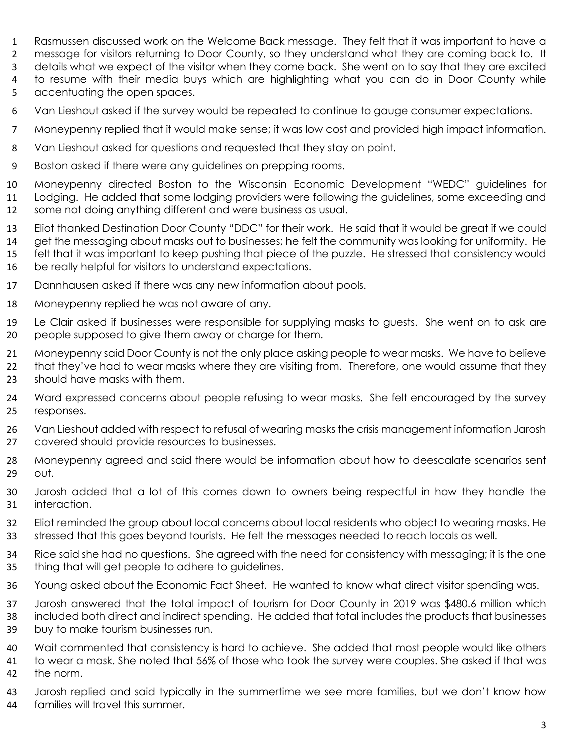- Rasmussen discussed work on the Welcome Back message. They felt that it was important to have a
- 2 message for visitors returning to Door County, so they understand what they are coming back to. It
- details what we expect of the visitor when they come back. She went on to say that they are excited
- to resume with their media buys which are highlighting what you can do in Door County while
- accentuating the open spaces.
- Van Lieshout asked if the survey would be repeated to continue to gauge consumer expectations.
- Moneypenny replied that it would make sense; it was low cost and provided high impact information.
- Van Lieshout asked for questions and requested that they stay on point.
- Boston asked if there were any guidelines on prepping rooms.
- Moneypenny directed Boston to the Wisconsin Economic Development "WEDC" guidelines for Lodging. He added that some lodging providers were following the guidelines, some exceeding and
- some not doing anything different and were business as usual.
- Eliot thanked Destination Door County "DDC" for their work. He said that it would be great if we could
- get the messaging about masks out to businesses; he felt the community was looking for uniformity. He felt that it was important to keep pushing that piece of the puzzle. He stressed that consistency would
- be really helpful for visitors to understand expectations.
	- Dannhausen asked if there was any new information about pools.
	- Moneypenny replied he was not aware of any.
	- Le Clair asked if businesses were responsible for supplying masks to guests. She went on to ask are people supposed to give them away or charge for them.
	- Moneypenny said Door County is not the only place asking people to wear masks. We have to believe 22 that they've had to wear masks where they are visiting from. Therefore, one would assume that they should have masks with them.
	- Ward expressed concerns about people refusing to wear masks. She felt encouraged by the survey responses.
	- Van Lieshout added with respect to refusal of wearing masks the crisis management information Jarosh covered should provide resources to businesses.
	- Moneypenny agreed and said there would be information about how to deescalate scenarios sent out.
	- Jarosh added that a lot of this comes down to owners being respectful in how they handle the interaction.
	- Eliot reminded the group about local concerns about local residents who object to wearing masks. He stressed that this goes beyond tourists. He felt the messages needed to reach locals as well.
	- Rice said she had no questions. She agreed with the need for consistency with messaging; it is the one thing that will get people to adhere to guidelines.
	- Young asked about the Economic Fact Sheet. He wanted to know what direct visitor spending was.
	- Jarosh answered that the total impact of tourism for Door County in 2019 was \$480.6 million which
	- included both direct and indirect spending. He added that total includes the products that businesses buy to make tourism businesses run.
	- Wait commented that consistency is hard to achieve. She added that most people would like others to wear a mask. She noted that 56% of those who took the survey were couples. She asked if that was the norm.
	- Jarosh replied and said typically in the summertime we see more families, but we don't know how families will travel this summer.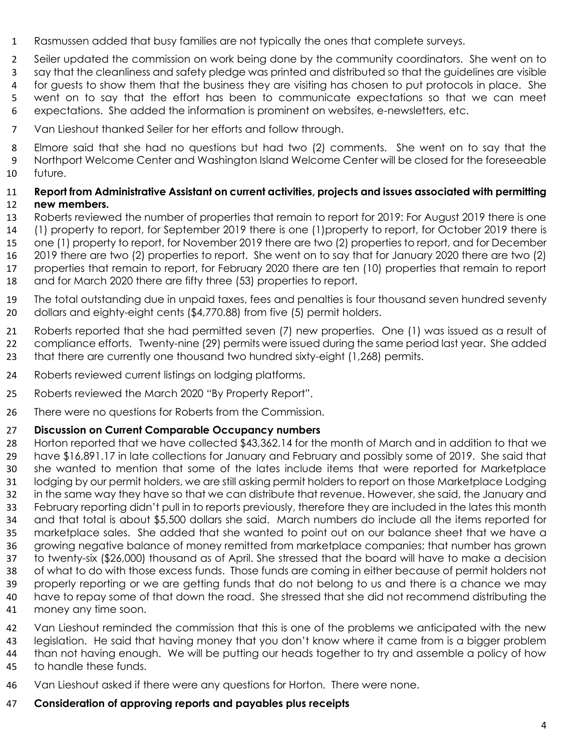- Rasmussen added that busy families are not typically the ones that complete surveys.
- Seiler updated the commission on work being done by the community coordinators. She went on to
- say that the cleanliness and safety pledge was printed and distributed so that the guidelines are visible
- for guests to show them that the business they are visiting has chosen to put protocols in place. She
- went on to say that the effort has been to communicate expectations so that we can meet
- expectations. She added the information is prominent on websites, e-newsletters, etc.
- Van Lieshout thanked Seiler for her efforts and follow through.
- Elmore said that she had no questions but had two (2) comments. She went on to say that the
- Northport Welcome Center and Washington Island Welcome Center will be closed for the foreseeable future.

### **Report from Administrative Assistant on current activities, projects and issues associated with permitting new members.**

- Roberts reviewed the number of properties that remain to report for 2019: For August 2019 there is one (1) property to report, for September 2019 there is one (1)property to report, for October 2019 there is one (1) property to report, for November 2019 there are two (2) properties to report, and for December 2019 there are two (2) properties to report. She went on to say that for January 2020 there are two (2) properties that remain to report, for February 2020 there are ten (10) properties that remain to report
- and for March 2020 there are fifty three (53) properties to report.
- The total outstanding due in unpaid taxes, fees and penalties is four thousand seven hundred seventy dollars and eighty-eight cents (\$4,770.88) from five (5) permit holders.
- Roberts reported that she had permitted seven (7) new properties. One (1) was issued as a result of compliance efforts. Twenty-nine (29) permits were issued during the same period last year. She added that there are currently one thousand two hundred sixty-eight (1,268) permits.
- Roberts reviewed current listings on lodging platforms.
- Roberts reviewed the March 2020 "By Property Report".
- There were no questions for Roberts from the Commission.

## **Discussion on Current Comparable Occupancy numbers**

- Horton reported that we have collected \$43,362.14 for the month of March and in addition to that we have \$16,891.17 in late collections for January and February and possibly some of 2019. She said that she wanted to mention that some of the lates include items that were reported for Marketplace 31 lodging by our permit holders, we are still asking permit holders to report on those Marketplace Lodging in the same way they have so that we can distribute that revenue. However, she said, the January and 33 February reporting didn't pull in to reports previously, therefore they are included in the lates this month and that total is about \$5,500 dollars she said. March numbers do include all the items reported for marketplace sales. She added that she wanted to point out on our balance sheet that we have a growing negative balance of money remitted from marketplace companies; that number has grown to twenty-six (\$26,000) thousand as of April. She stressed that the board will have to make a decision of what to do with those excess funds. Those funds are coming in either because of permit holders not properly reporting or we are getting funds that do not belong to us and there is a chance we may have to repay some of that down the road. She stressed that she did not recommend distributing the money any time soon.
- Van Lieshout reminded the commission that this is one of the problems we anticipated with the new 43 legislation. He said that having money that you don't know where it came from is a bigger problem 44 than not having enough. We will be putting our heads together to try and assemble a policy of how to handle these funds.
- Van Lieshout asked if there were any questions for Horton. There were none.
- **Consideration of approving reports and payables plus receipts**